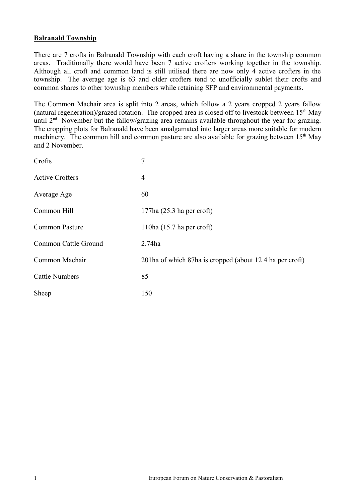## **Balranald Township**

There are 7 crofts in Balranald Township with each croft having a share in the township common areas. Traditionally there would have been 7 active crofters working together in the township. Although all croft and common land is still utilised there are now only 4 active crofters in the township. The average age is 63 and older crofters tend to unofficially sublet their crofts and common shares to other township members while retaining SFP and environmental payments.

The Common Machair area is split into 2 areas, which follow a 2 years cropped 2 years fallow (natural regeneration)/grazed rotation. The cropped area is closed off to livestock between  $15<sup>th</sup>$  May until  $2<sup>nd</sup>$  November but the fallow/grazing area remains available throughout the year for grazing. The cropping plots for Balranald have been amalgamated into larger areas more suitable for modern machinery. The common hill and common pasture are also available for grazing between  $15<sup>th</sup>$  May and 2 November.

| Crofts                 | $\overline{7}$                                          |
|------------------------|---------------------------------------------------------|
| <b>Active Crofters</b> | 4                                                       |
| Average Age            | 60                                                      |
| Common Hill            | $177$ ha $(25.3$ ha per croft)                          |
| <b>Common Pasture</b>  | 110ha $(15.7$ ha per croft)                             |
| Common Cattle Ground   | 2.74ha                                                  |
| Common Machair         | 201ha of which 87ha is cropped (about 124 ha per croft) |
| <b>Cattle Numbers</b>  | 85                                                      |
| Sheep                  | 150                                                     |